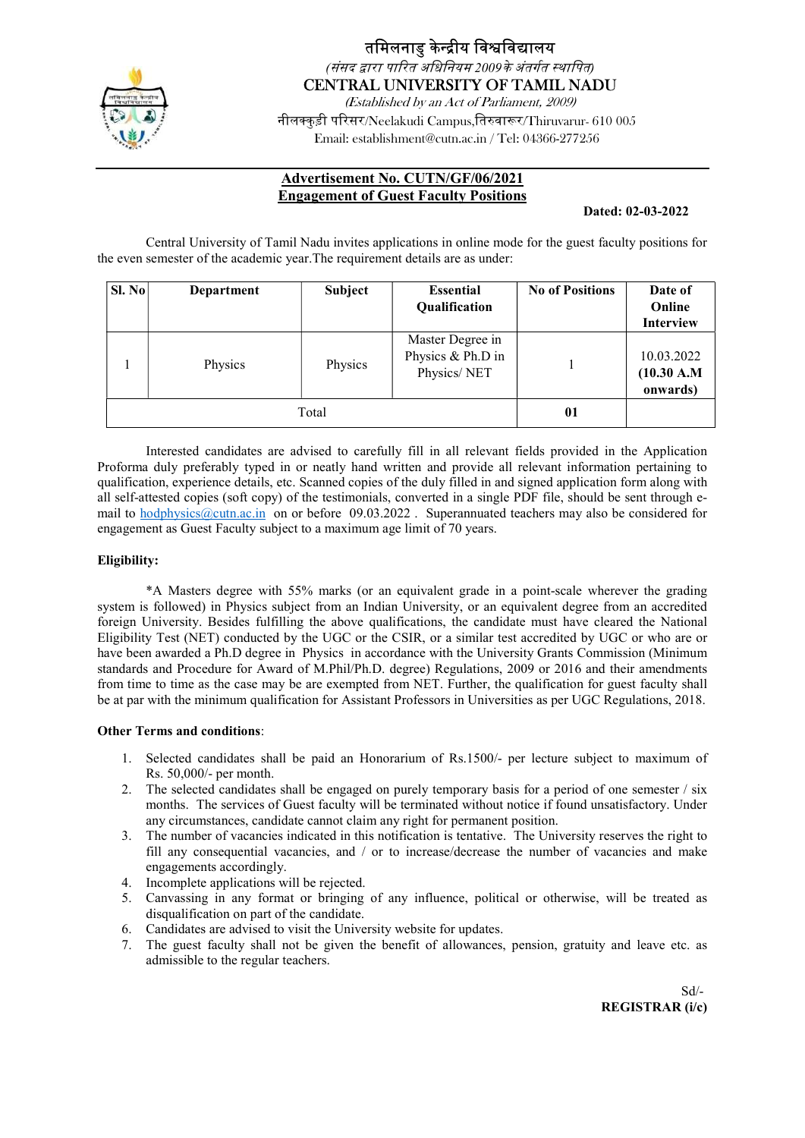

### तमिलनाडु केन्द्रीय विश्वविद्यालय (संसद द्वारा पारित अधिनियम 2009के अंतर्गत स्थापित)

CENTRAL UNIVERSITY OF TAMIL NADU

(Established by an Act of Parliament, 2009) नीलक्कड़ी परिसर/Neelakudi Campus,तिरुवारूर/Thiruvarur- 610 005 Email: establishment@cutn.ac.in / Tel: 04366-277256

### Advertisement No. CUTN/GF/06/2021 Engagement of Guest Faculty Positions

#### Dated: 02-03-2022

Central University of Tamil Nadu invites applications in online mode for the guest faculty positions for the even semester of the academic year.The requirement details are as under:

| SI. No | Department | Subject | <b>Essential</b><br><b>Qualification</b>             | <b>No of Positions</b> | Date of<br>Online<br><b>Interview</b> |
|--------|------------|---------|------------------------------------------------------|------------------------|---------------------------------------|
|        | Physics    | Physics | Master Degree in<br>Physics & Ph.D in<br>Physics/NET |                        | 10.03.2022<br>(10.30 A.M)<br>onwards) |
|        | Total      | 01      |                                                      |                        |                                       |

Interested candidates are advised to carefully fill in all relevant fields provided in the Application Proforma duly preferably typed in or neatly hand written and provide all relevant information pertaining to qualification, experience details, etc. Scanned copies of the duly filled in and signed application form along with all self-attested copies (soft copy) of the testimonials, converted in a single PDF file, should be sent through email to hodphysics@cutn.ac.in on or before 09.03.2022. Superannuated teachers may also be considered for engagement as Guest Faculty subject to a maximum age limit of 70 years.

#### Eligibility:

\*A Masters degree with 55% marks (or an equivalent grade in a point-scale wherever the grading system is followed) in Physics subject from an Indian University, or an equivalent degree from an accredited foreign University. Besides fulfilling the above qualifications, the candidate must have cleared the National Eligibility Test (NET) conducted by the UGC or the CSIR, or a similar test accredited by UGC or who are or have been awarded a Ph.D degree in Physics in accordance with the University Grants Commission (Minimum standards and Procedure for Award of M.Phil/Ph.D. degree) Regulations, 2009 or 2016 and their amendments from time to time as the case may be are exempted from NET. Further, the qualification for guest faculty shall be at par with the minimum qualification for Assistant Professors in Universities as per UGC Regulations, 2018.

#### Other Terms and conditions:

- 1. Selected candidates shall be paid an Honorarium of Rs.1500/- per lecture subject to maximum of Rs. 50,000/- per month.
- 2. The selected candidates shall be engaged on purely temporary basis for a period of one semester / six months. The services of Guest faculty will be terminated without notice if found unsatisfactory. Under any circumstances, candidate cannot claim any right for permanent position.
- 3. The number of vacancies indicated in this notification is tentative. The University reserves the right to fill any consequential vacancies, and / or to increase/decrease the number of vacancies and make engagements accordingly.
- 4. Incomplete applications will be rejected.
- 5. Canvassing in any format or bringing of any influence, political or otherwise, will be treated as disqualification on part of the candidate.
- 6. Candidates are advised to visit the University website for updates.
- 7. The guest faculty shall not be given the benefit of allowances, pension, gratuity and leave etc. as admissible to the regular teachers.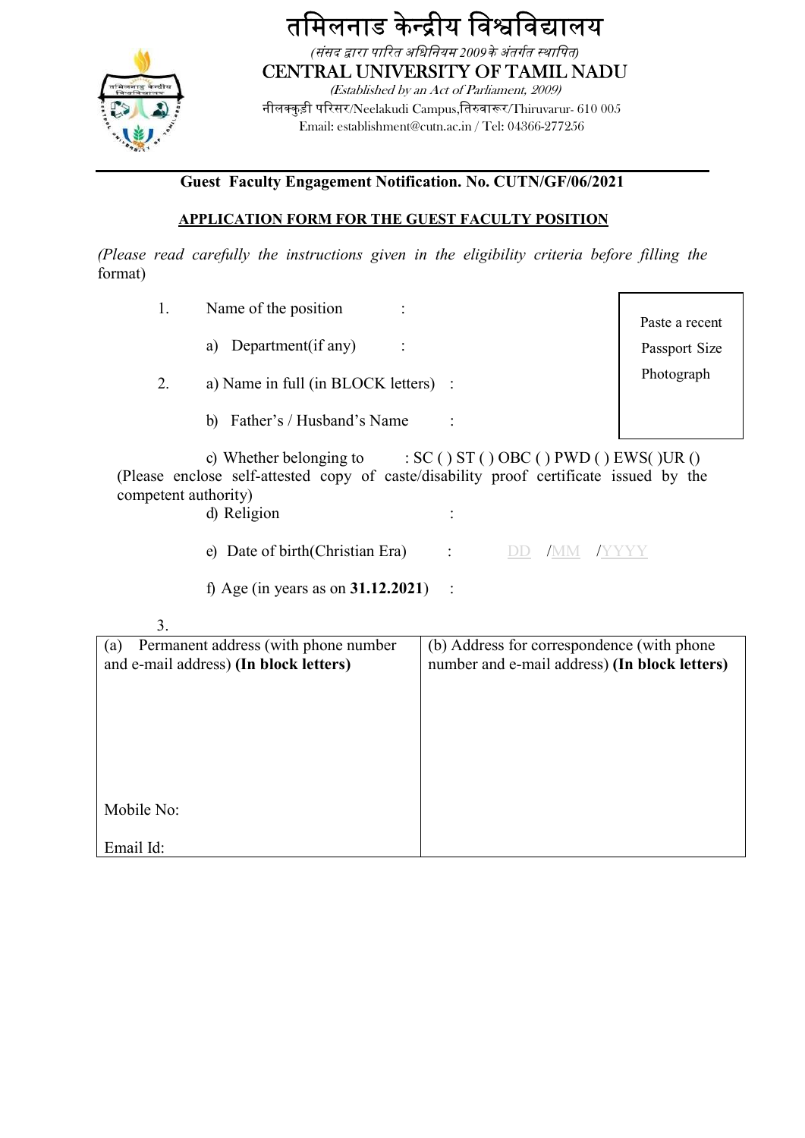

तमिलनाड केन्द्रीय विश्वविद्यालय (संसद द्वारा पारित अधिनियम 2009के अंतर्गत स्थापित) CENTRAL UNIVERSITY OF TAMIL NADU (Established by an Act of Parliament, 2009) नीलक्कुड़ी परिसर/Neelakudi Campus,तिरुवारूर/Thiruvarur- 610 005 Email: establishment@cutn.ac.in / Tel: 04366-277256

### Guest Faculty Engagement Notification. No. CUTN/GF/06/2021

### APPLICATION FORM FOR THE GUEST FACULTY POSITION

(Please read carefully the instructions given in the eligibility criteria before filling the format)

| 1.                                                                                                                                                                                                 | Name of the position                  |                                                                                             | Paste a recent |  |  |  |
|----------------------------------------------------------------------------------------------------------------------------------------------------------------------------------------------------|---------------------------------------|---------------------------------------------------------------------------------------------|----------------|--|--|--|
|                                                                                                                                                                                                    | a) Department(if any)                 |                                                                                             | Passport Size  |  |  |  |
| 2.                                                                                                                                                                                                 | a) Name in full (in BLOCK letters) :  | Photograph                                                                                  |                |  |  |  |
|                                                                                                                                                                                                    | b) Father's / Husband's Name          |                                                                                             |                |  |  |  |
| c) Whether belonging to : $SC( ) ST( ) OBC( ) PWD( ) EWS( )UR( )$<br>(Please enclose self-attested copy of caste/disability proof certificate issued by the<br>competent authority)<br>d) Religion |                                       |                                                                                             |                |  |  |  |
|                                                                                                                                                                                                    | e) Date of birth (Christian Era)      | DD -<br>/MM                                                                                 |                |  |  |  |
|                                                                                                                                                                                                    | f) Age (in years as on $31.12.2021$ ) |                                                                                             |                |  |  |  |
| 3.                                                                                                                                                                                                 |                                       |                                                                                             |                |  |  |  |
| Permanent address (with phone number<br>(a)<br>and e-mail address) (In block letters)                                                                                                              |                                       | (b) Address for correspondence (with phone<br>number and e-mail address) (In block letters) |                |  |  |  |
|                                                                                                                                                                                                    |                                       |                                                                                             |                |  |  |  |
|                                                                                                                                                                                                    |                                       |                                                                                             |                |  |  |  |
|                                                                                                                                                                                                    |                                       |                                                                                             |                |  |  |  |
| Mobile No:                                                                                                                                                                                         |                                       |                                                                                             |                |  |  |  |
| Email Id:                                                                                                                                                                                          |                                       |                                                                                             |                |  |  |  |